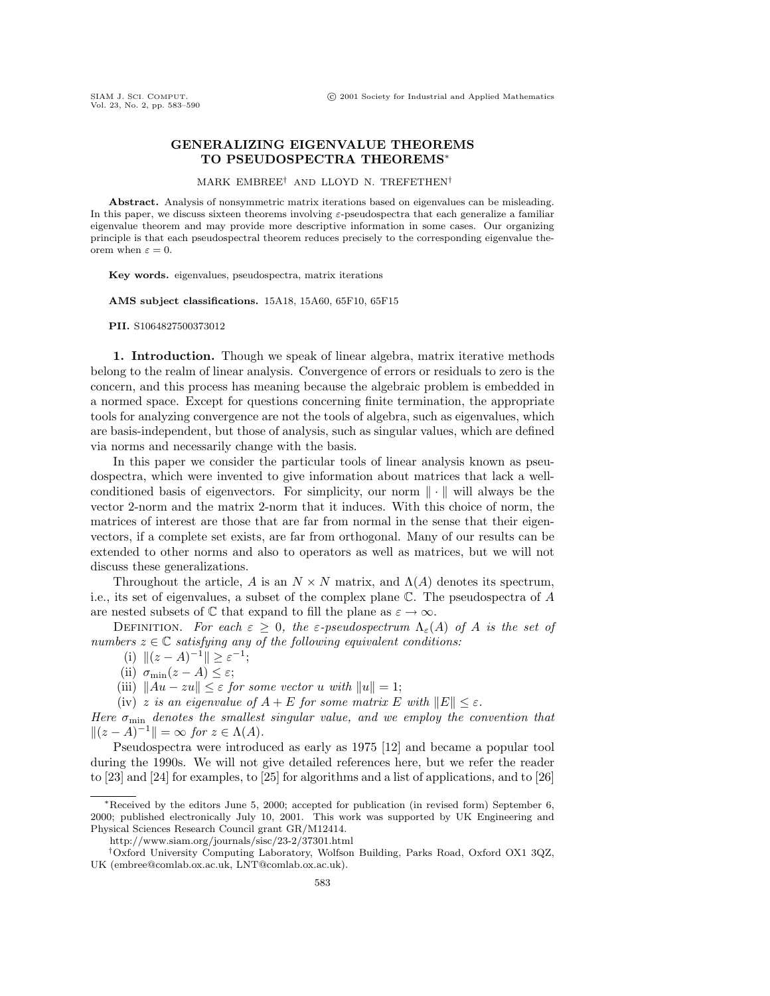## **GENERALIZING EIGENVALUE THEOREMS TO PSEUDOSPECTRA THEOREMS**<sup>∗</sup>

MARK EMBREE† AND LLOYD N. TREFETHEN†

**Abstract.** Analysis of nonsymmetric matrix iterations based on eigenvalues can be misleading. In this paper, we discuss sixteen theorems involving ε-pseudospectra that each generalize a familiar eigenvalue theorem and may provide more descriptive information in some cases. Our organizing principle is that each pseudospectral theorem reduces precisely to the correspondingeigenvalue theorem when  $\varepsilon = 0$ .

**Key words.** eigenvalues, pseudospectra, matrix iterations

**AMS subject classifications.** 15A18, 15A60, 65F10, 65F15

**PII.** S1064827500373012

**1. Introduction.** Though we speak of linear algebra, matrix iterative methods belong to the realm of linear analysis. Convergence of errors or residuals to zero is the concern, and this process has meaning because the algebraic problem is embedded in a normed space. Except for questions concerning finite termination, the appropriate tools for analyzing convergence are not the tools of algebra, such as eigenvalues, which are basis-independent, but those of analysis, such as singular values, which are defined via norms and necessarily change with the basis.

In this paper we consider the particular tools of linear analysis known as pseudospectra, which were invented to give information about matrices that lack a wellconditioned basis of eigenvectors. For simplicity, our norm  $\|\cdot\|$  will always be the vector 2-norm and the matrix 2-norm that it induces. With this choice of norm, the matrices of interest are those that are far from normal in the sense that their eigenvectors, if a complete set exists, are far from orthogonal. Many of our results can be extended to other norms and also to operators as well as matrices, but we will not discuss these generalizations.

Throughout the article, A is an  $N \times N$  matrix, and  $\Lambda(A)$  denotes its spectrum, i.e., its set of eigenvalues, a subset of the complex plane C. The pseudospectra of A are nested subsets of  $\mathbb C$  that expand to fill the plane as  $\varepsilon \to \infty$ .

DEFINITION. For each  $\varepsilon > 0$ , the  $\varepsilon$ -pseudospectrum  $\Lambda_{\varepsilon}(A)$  of A is the set of numbers  $z \in \mathbb{C}$  satisfying any of the following equivalent conditions:

(i)  $||(z - A)^{-1}|| \ge \varepsilon^{-1};$ 

(ii)  $\sigma_{\min}(z - A) \leq \varepsilon$ ;

(iii)  $\|Au - zu\| \leq \varepsilon$  for some vector u with  $\|u\| = 1$ ;

(iv) z is an eigenvalue of  $A + E$  for some matrix E with  $||E|| \leq \varepsilon$ .

Here  $\sigma_{\min}$  denotes the smallest singular value, and we employ the convention that  $||(z - A)^{-1}|| = \infty$  for  $z \in \Lambda(A)$ .

Pseudospectra were introduced as early as 1975 [12] and became a popular tool during the 1990s. We will not give detailed references here, but we refer the reader to [23] and [24] for examples, to [25] for algorithms and a list of applications, and to [26]

<sup>∗</sup>Received by the editors June 5, 2000; accepted for publication (in revised form) September 6, 2000; published electronically July 10, 2001. This work was supported by UK Engineering and Physical Sciences Research Council grant GR/M12414.

http://www.siam.org/journals/sisc/23-2/37301.html

<sup>†</sup>Oxford University ComputingLaboratory, Wolfson Building, Parks Road, Oxford OX1 3QZ, UK (embree@comlab.ox.ac.uk, LNT@comlab.ox.ac.uk).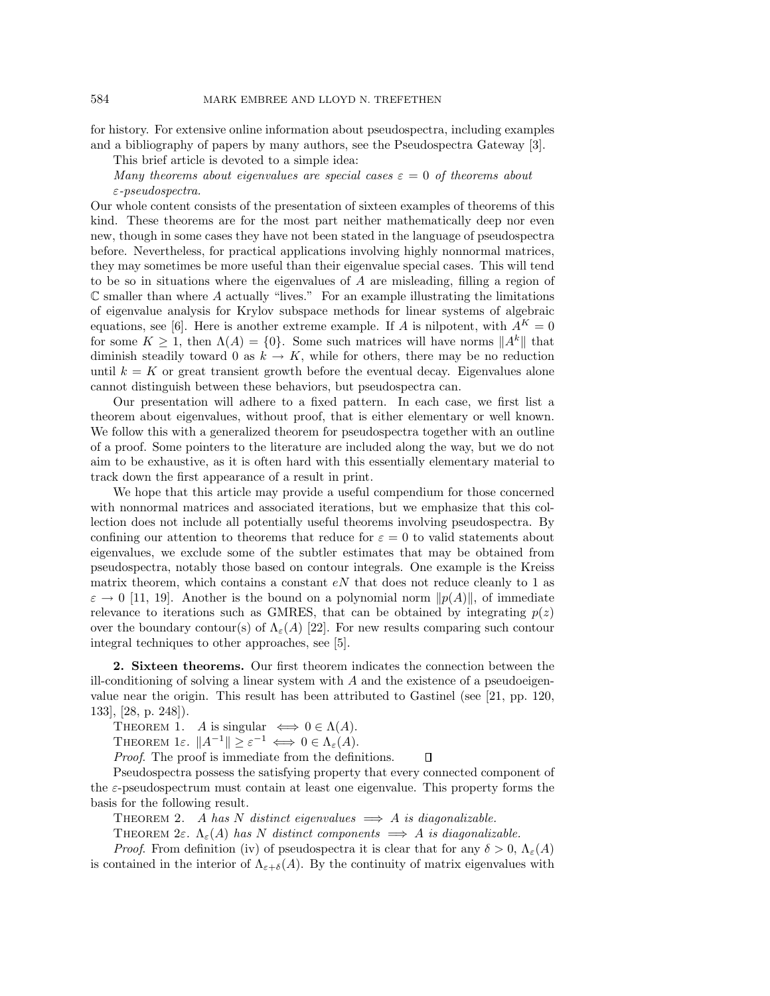for history. For extensive online information about pseudospectra, including examples and a bibliography of papers by many authors, see the Pseudospectra Gateway [3].

This brief article is devoted to a simple idea:

Many theorems about eigenvalues are special cases  $\varepsilon = 0$  of theorems about ε-pseudospectra.

Our whole content consists of the presentation of sixteen examples of theorems of this kind. These theorems are for the most part neither mathematically deep nor even new, though in some cases they have not been stated in the language of pseudospectra before. Nevertheless, for practical applications involving highly nonnormal matrices, they may sometimes be more useful than their eigenvalue special cases. This will tend to be so in situations where the eigenvalues of A are misleading, filling a region of  $\mathbb C$  smaller than where  $A$  actually "lives." For an example illustrating the limitations of eigenvalue analysis for Krylov subspace methods for linear systems of algebraic equations, see [6]. Here is another extreme example. If A is nilpotent, with  $A^{K} = 0$ for some  $K \geq 1$ , then  $\Lambda(A) = \{0\}$ . Some such matrices will have norms  $||A^k||$  that diminish steadily toward 0 as  $k \to K$ , while for others, there may be no reduction until  $k = K$  or great transient growth before the eventual decay. Eigenvalues alone cannot distinguish between these behaviors, but pseudospectra can.

Our presentation will adhere to a fixed pattern. In each case, we first list a theorem about eigenvalues, without proof, that is either elementary or well known. We follow this with a generalized theorem for pseudospectra together with an outline of a proof. Some pointers to the literature are included along the way, but we do not aim to be exhaustive, as it is often hard with this essentially elementary material to track down the first appearance of a result in print.

We hope that this article may provide a useful compendium for those concerned with nonnormal matrices and associated iterations, but we emphasize that this collection does not include all potentially useful theorems involving pseudospectra. By confining our attention to theorems that reduce for  $\varepsilon = 0$  to valid statements about eigenvalues, we exclude some of the subtler estimates that may be obtained from pseudospectra, notably those based on contour integrals. One example is the Kreiss matrix theorem, which contains a constant  $e<sub>N</sub>$  that does not reduce cleanly to 1 as  $\varepsilon \to 0$  [11, 19]. Another is the bound on a polynomial norm  $\|p(A)\|$ , of immediate relevance to iterations such as GMRES, that can be obtained by integrating  $p(z)$ over the boundary contour(s) of  $\Lambda_{\varepsilon}(A)$  [22]. For new results comparing such contour integral techniques to other approaches, see [5].

**2. Sixteen theorems.** Our first theorem indicates the connection between the ill-conditioning of solving a linear system with  $A$  and the existence of a pseudoeigenvalue near the origin. This result has been attributed to Gastinel (see [21, pp. 120, 133], [28, p. 248]).

THEOREM 1. A is singular  $\iff 0 \in \Lambda(A)$ .

THEOREM 1 $\varepsilon$ .  $||A^{-1}|| \geq \varepsilon^{-1} \iff 0 \in \Lambda_{\varepsilon}(A)$ .

Proof. The proof is immediate from the definitions.  $\Box$ 

Pseudospectra possess the satisfying property that every connected component of the  $\varepsilon$ -pseudospectrum must contain at least one eigenvalue. This property forms the basis for the following result.

THEOREM 2. A has N distinct eigenvalues  $\implies$  A is diagonalizable.

THEOREM 2ε.  $\Lambda_{\varepsilon}(A)$  has N distinct components  $\implies$  A is diagonalizable.

*Proof.* From definition (iv) of pseudospectra it is clear that for any  $\delta > 0$ ,  $\Lambda_{\epsilon}(A)$ is contained in the interior of  $\Lambda_{\varepsilon+\delta}(A)$ . By the continuity of matrix eigenvalues with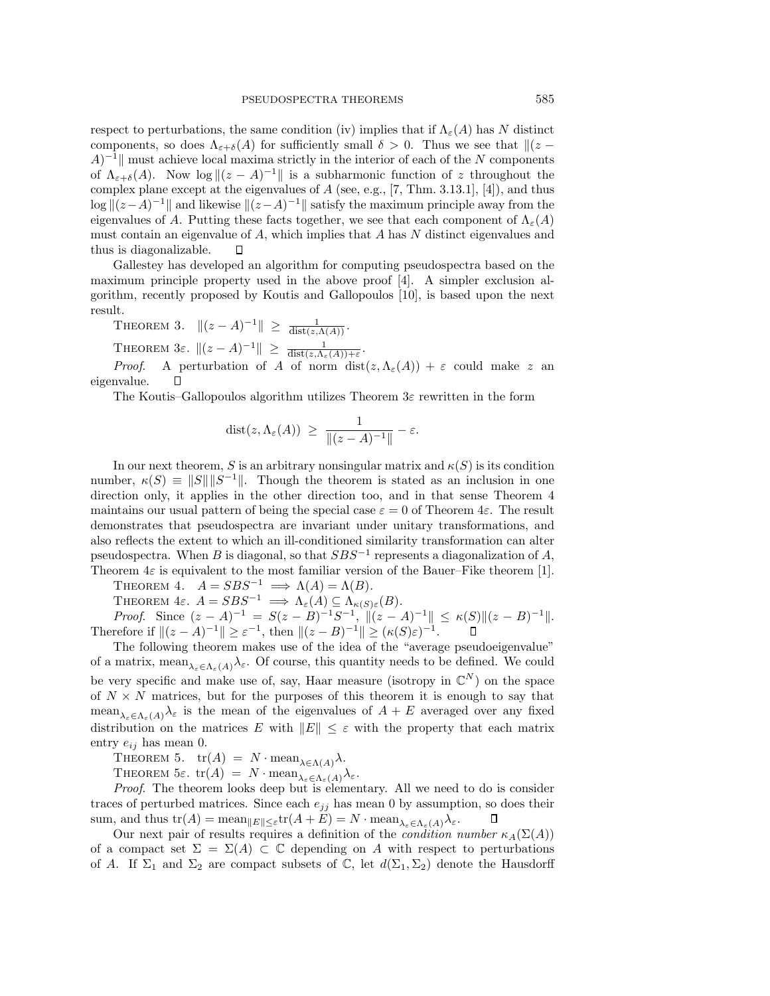respect to perturbations, the same condition (iv) implies that if  $\Lambda_{\varepsilon}(A)$  has N distinct components, so does  $\Lambda_{\varepsilon+\delta}(A)$  for sufficiently small  $\delta > 0$ . Thus we see that  $\|(z A$ <sup>-1</sup> must achieve local maxima strictly in the interior of each of the N components of  $\Lambda_{\varepsilon+\delta}(A)$ . Now  $\log||(z-A)^{-1}||$  is a subharmonic function of z throughout the complex plane except at the eigenvalues of  $A$  (see, e.g., [7, Thm. 3.13.1], [4]), and thus  $\log ||(z-A)^{-1}||$  and likewise  $||(z-A)^{-1}||$  satisfy the maximum principle away from the eigenvalues of A. Putting these facts together, we see that each component of  $\Lambda_{\varepsilon}(A)$ must contain an eigenvalue of  $A$ , which implies that  $A$  has  $N$  distinct eigenvalues and thus is diagonalizable. Л

Gallestey has developed an algorithm for computing pseudospectra based on the maximum principle property used in the above proof [4]. A simpler exclusion algorithm, recently proposed by Koutis and Gallopoulos [10], is based upon the next result.

THEOREM 3.  $||(z - A)^{-1}|| \ge \frac{1}{dist(z, \Lambda(A))}$ .

THEOREM 3 $\varepsilon$ .  $||(z - A)^{-1}|| \ge \frac{1}{\text{dist}(z, \Lambda_{\varepsilon}(A)) + \varepsilon}$ .

*Proof.* A perturbation of A of norm  $dist(z, \Lambda_{\varepsilon}(A)) + \varepsilon$  could make z an eigenvalue.  $\Box$ 

The Koutis–Gallopoulos algorithm utilizes Theorem  $3\varepsilon$  rewritten in the form

$$
dist(z, \Lambda_{\varepsilon}(A)) \ \geq \ \frac{1}{\|(z-A)^{-1}\|} - \varepsilon.
$$

In our next theorem, S is an arbitrary nonsingular matrix and  $\kappa(S)$  is its condition number,  $\kappa(S) \equiv ||S|| ||S^{-1}||$ . Though the theorem is stated as an inclusion in one direction only, it applies in the other direction too, and in that sense Theorem 4 maintains our usual pattern of being the special case  $\varepsilon = 0$  of Theorem 4 $\varepsilon$ . The result demonstrates that pseudospectra are invariant under unitary transformations, and also reflects the extent to which an ill-conditioned similarity transformation can alter pseudospectra. When B is diagonal, so that  $SBS^{-1}$  represents a diagonalization of A, Theorem  $4\varepsilon$  is equivalent to the most familiar version of the Bauer–Fike theorem [1].

THEOREM 4.  $A = SBS^{-1} \implies \Lambda(A) = \Lambda(B)$ .

THEOREM 4ε.  $A = SBS^{-1} \implies \Lambda_{\varepsilon}(A) \subseteq \Lambda_{\kappa(S)\varepsilon}(B)$ . *Proof.* Since  $(z - A)^{-1} = S(z - B)^{-1}S^{-1}$ ,  $||(z - A)^{-1}|| \le \kappa(S)||(z - B)^{-1}||$ . Therefore if  $||(z - A)^{-1}|| \ge \varepsilon^{-1}$ , then  $||(z - B)^{-1}|| \ge (\kappa(S)\varepsilon)^{-1}$ .

The following theorem makes use of the idea of the "average pseudoeigenvalue" of a matrix, mean  $\lambda_{\varepsilon} \in \Lambda_{\varepsilon}(A)$ ,  $\lambda_{\varepsilon}$ . Of course, this quantity needs to be defined. We could be very specific and make use of, say, Haar measure (isotropy in  $\mathbb{C}^N$ ) on the space of  $N \times N$  matrices, but for the purposes of this theorem it is enough to say that mean<sub> $\lambda_{\varepsilon} \in \Lambda_{\varepsilon}(A)$ </sub> is the mean of the eigenvalues of  $A + E$  averaged over any fixed distribution on the matrices E with  $||E|| \leq \varepsilon$  with the property that each matrix entry  $e_{ij}$  has mean 0.

THEOREM 5.  $tr(A) = N \cdot \text{mean}_{\lambda \in \Lambda(A)} \lambda$ .

THEOREM  $5\varepsilon$ .  $\operatorname{tr}(A) = N \cdot \operatorname{mean}_{\lambda_{\varepsilon} \in \Lambda_{\varepsilon}(A)} \lambda_{\varepsilon}$ .

Proof. The theorem looks deep but is elementary. All we need to do is consider traces of perturbed matrices. Since each  $e_{jj}$  has mean 0 by assumption, so does their sum, and thus  $\text{tr}(A) = \text{mean}_{\|E\| \leq \varepsilon} \text{tr}(A + E) = N \cdot \text{mean}_{\lambda_{\varepsilon} \in \Lambda_{\varepsilon}(A)} \lambda_{\varepsilon}.$ 

Our next pair of results requires a definition of the *condition number*  $\kappa_A(\Sigma(A))$ of a compact set  $\Sigma = \Sigma(A) \subset \mathbb{C}$  depending on A with respect to perturbations of A. If  $\Sigma_1$  and  $\Sigma_2$  are compact subsets of C, let  $d(\Sigma_1, \Sigma_2)$  denote the Hausdorff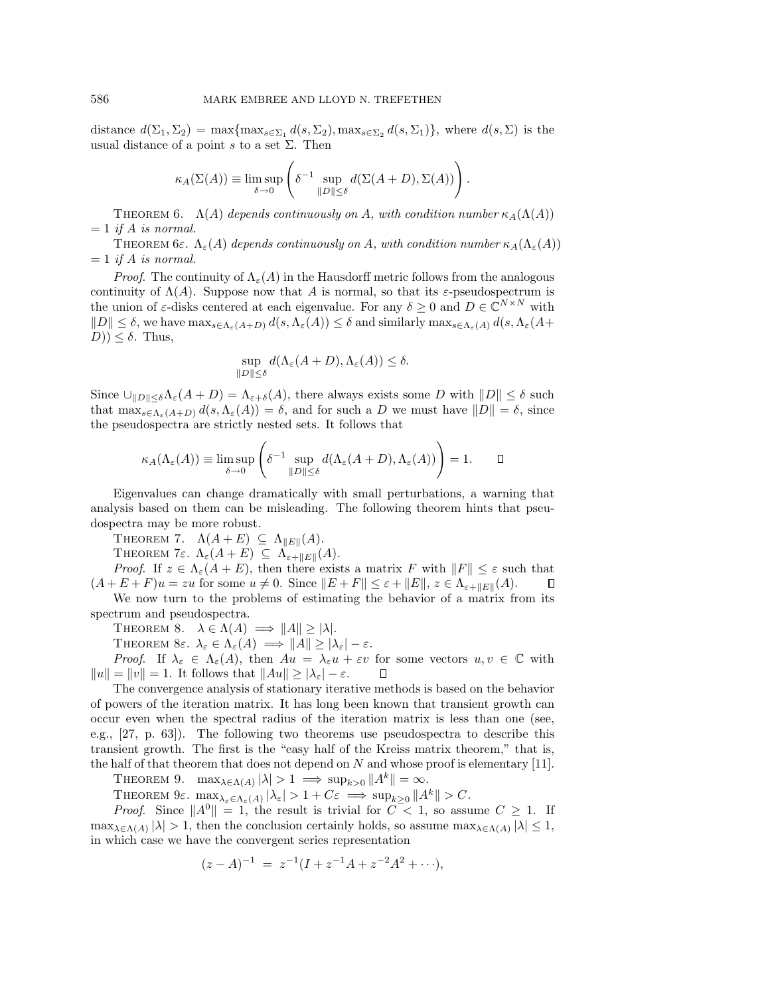distance  $d(\Sigma_1, \Sigma_2) = \max\{\max_{s \in \Sigma_1} d(s, \Sigma_2), \max_{s \in \Sigma_2} d(s, \Sigma_1)\}\)$ , where  $d(s, \Sigma)$  is the usual distance of a point s to a set  $\Sigma$ . Then

$$
\kappa_A(\Sigma(A)) \equiv \limsup_{\delta \to 0} \left( \delta^{-1} \sup_{\|D\| \le \delta} d(\Sigma(A+D), \Sigma(A)) \right).
$$

THEOREM 6.  $\Lambda(A)$  depends continuously on A, with condition number  $\kappa_A(\Lambda(A))$  $= 1$  if A is normal.

THEOREM 6ε.  $\Lambda_{\varepsilon}(A)$  depends continuously on A, with condition number  $\kappa_A(\Lambda_{\varepsilon}(A))$  $= 1$  if A is normal.

*Proof.* The continuity of  $\Lambda_{\varepsilon}(A)$  in the Hausdorff metric follows from the analogous continuity of  $\Lambda(A)$ . Suppose now that A is normal, so that its  $\varepsilon$ -pseudospectrum is the union of  $\varepsilon$ -disks centered at each eigenvalue. For any  $\delta \geq 0$  and  $D \in \mathbb{C}^{N \times N}$  with  $||D|| \leq \delta$ , we have  $\max_{s \in \Lambda_{\varepsilon}(A+D)} d(s, \Lambda_{\varepsilon}(A)) \leq \delta$  and similarly  $\max_{s \in \Lambda_{\varepsilon}(A)} d(s, \Lambda_{\varepsilon}(A+D))$  $(D)$ )  $\leq \delta$ . Thus,

$$
\sup_{\|D\| \le \delta} d(\Lambda_{\varepsilon}(A+D), \Lambda_{\varepsilon}(A)) \le \delta.
$$

Since  $\bigcup_{\|D\| \leq \delta} \Lambda_{\varepsilon}(A + D) = \Lambda_{\varepsilon+\delta}(A)$ , there always exists some D with  $||D|| \leq \delta$  such that  $\max_{s \in \Lambda_{\varepsilon}(A+D)} d(s, \Lambda_{\varepsilon}(A)) = \delta$ , and for such a D we must have  $||D|| = \delta$ , since the pseudospectra are strictly nested sets. It follows that

$$
\kappa_A(\Lambda_{\varepsilon}(A)) \equiv \limsup_{\delta \to 0} \left( \delta^{-1} \sup_{\|D\| \le \delta} d(\Lambda_{\varepsilon}(A+D), \Lambda_{\varepsilon}(A)) \right) = 1. \quad \Box
$$

Eigenvalues can change dramatically with small perturbations, a warning that analysis based on them can be misleading. The following theorem hints that pseudospectra may be more robust.

THEOREM 7.  $\Lambda(A + E) \subseteq \Lambda_{\|E\|}(A)$ .

THEOREM 7ε.  $\Lambda_{\varepsilon}(A + E) \subseteq \Lambda_{\varepsilon + ||E||}(A)$ .

*Proof.* If  $z \in \Lambda_{\varepsilon}(A + E)$ , then there exists a matrix F with  $||F|| \leq \varepsilon$  such that  $(A + E + F)u = zu$  for some  $u \neq 0$ . Since  $||E + F|| \leq \varepsilon + ||E||$ ,  $z \in \Lambda_{\varepsilon+}||E||(A)$ .

We now turn to the problems of estimating the behavior of a matrix from its spectrum and pseudospectra.

THEOREM 8.  $\lambda \in \Lambda(A) \implies ||A|| \ge |\lambda|.$ 

THEOREM 8ε.  $\lambda_{\varepsilon} \in \Lambda_{\varepsilon}(A) \implies ||A|| \ge |\lambda_{\varepsilon}| - \varepsilon$ .

Proof. If  $\lambda_{\varepsilon} \in \Lambda_{\varepsilon}(A)$ , then  $Au = \lambda_{\varepsilon}u + \varepsilon v$  for some vectors  $u, v \in \mathbb{C}$  with  $||u|| = ||v|| = 1.$  It follows that  $||Au|| \ge |\lambda_{\varepsilon}| - \varepsilon$ .  $\Box$ 

The convergence analysis of stationary iterative methods is based on the behavior of powers of the iteration matrix. It has long been known that transient growth can occur even when the spectral radius of the iteration matrix is less than one (see, e.g., [27, p. 63]). The following two theorems use pseudospectra to describe this transient growth. The first is the "easy half of the Kreiss matrix theorem," that is, the half of that theorem that does not depend on  $N$  and whose proof is elementary [11].

THEOREM 9.  $\max_{\lambda \in \Lambda(A)} |\lambda| > 1 \implies \sup_{k>0} ||A^k|| = \infty$ .

THEOREM  $9\varepsilon$ .  $\max_{\lambda_{\varepsilon} \in \Lambda_{\varepsilon}(A)} |\lambda_{\varepsilon}| > 1 + C\varepsilon \implies \sup_{k>0} ||A^k|| > C$ .

*Proof.* Since  $||A^0|| = 1$ , the result is trivial for  $C < 1$ , so assume  $C \ge 1$ . If  $\max_{\lambda \in \Lambda(A)} |\lambda| > 1$ , then the conclusion certainly holds, so assume  $\max_{\lambda \in \Lambda(A)} |\lambda| \leq 1$ , in which case we have the convergent series representation

$$
(z - A)^{-1} = z^{-1}(I + z^{-1}A + z^{-2}A^{2} + \cdots),
$$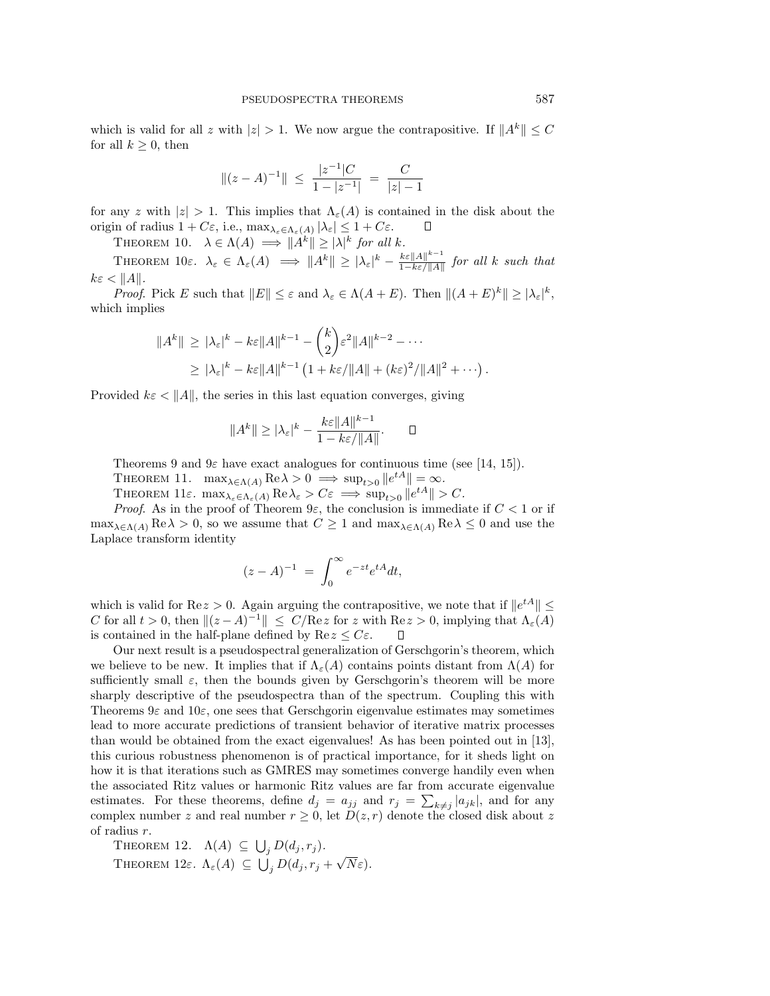which is valid for all z with  $|z| > 1$ . We now argue the contrapositive. If  $||A^k|| \leq C$ for all  $k \geq 0$ , then

$$
\|(z-A)^{-1}\| \ \leq \ \frac{|z^{-1}|C}{1-|z^{-1}|} \ = \ \frac{C}{|z|-1}
$$

for any z with  $|z| > 1$ . This implies that  $\Lambda_{\varepsilon}(A)$  is contained in the disk about the origin of radius  $1 + C\varepsilon$ , i.e.,  $\max_{\lambda_{\varepsilon} \in \Lambda_{\varepsilon}(A)} |\lambda_{\varepsilon}| \leq 1 + C\varepsilon$ .  $\Box$ 

THEOREM 10.  $\lambda \in \Lambda(A) \implies ||A^k|| \ge |\lambda|^k$  for all k.

THEOREM  $10\varepsilon$ .  $\lambda_{\varepsilon} \in \Lambda_{\varepsilon}(A) \implies ||A^k|| \geq |\lambda_{\varepsilon}|^k - \frac{k\varepsilon ||A||^{k-1}}{1 - k\varepsilon/||A||}$  for all k such that  $k\varepsilon < ||A||.$ 

*Proof.* Pick E such that  $||E|| \leq \varepsilon$  and  $\lambda_{\varepsilon} \in \Lambda(A + E)$ . Then  $||(A + E)^{k}|| \geq |\lambda_{\varepsilon}|^{k}$ , which implies

$$
||A^k|| \ge |\lambda_{\varepsilon}|^k - k\varepsilon ||A||^{k-1} - {k \choose 2} \varepsilon^2 ||A||^{k-2} - \cdots
$$
  
 
$$
\ge |\lambda_{\varepsilon}|^k - k\varepsilon ||A||^{k-1} \left(1 + k\varepsilon / ||A|| + (k\varepsilon)^2 / ||A||^2 + \cdots \right).
$$

Provided  $k\varepsilon < ||A||$ , the series in this last equation converges, giving

$$
||A^k|| \ge |\lambda_{\varepsilon}|^k - \frac{k\varepsilon ||A||^{k-1}}{1 - k\varepsilon / ||A||}.
$$

 $\Box$ 

Theorems 9 and  $9\varepsilon$  have exact analogues for continuous time (see [14, 15]).

THEOREM 11.  $\max_{\lambda \in \Lambda(A)} \text{Re}\lambda > 0 \implies \sup_{t>0} ||e^{tA}|| = \infty$ .

THEOREM  $11\varepsilon$ .  $\max_{\lambda_{\varepsilon} \in \Lambda_{\varepsilon}(A)} \text{Re}\lambda_{\varepsilon} > C\varepsilon \implies \sup_{t>0} ||e^{tA}|| > C$ .

*Proof.* As in the proof of Theorem  $9\varepsilon$ , the conclusion is immediate if  $C < 1$  or if  $\max_{\lambda \in \Lambda(A)} \text{Re}\lambda > 0$ , so we assume that  $C \geq 1$  and  $\max_{\lambda \in \Lambda(A)} \text{Re}\lambda \leq 0$  and use the Laplace transform identity

$$
(z - A)^{-1} = \int_0^\infty e^{-zt} e^{tA} dt,
$$

which is valid for Re $z > 0$ . Again arguing the contrapositive, we note that if  $||e^{tA}|| \leq$ C for all  $t > 0$ , then  $||(z - A)^{-1}|| \le C/Re z$  for z with  $Re z > 0$ , implying that  $\Lambda_{\varepsilon}(A)$ is contained in the half-plane defined by  $\text{Re } z \leq C\varepsilon$ .  $\Box$ 

Our next result is a pseudospectral generalization of Gerschgorin's theorem, which we believe to be new. It implies that if  $\Lambda_{\varepsilon}(A)$  contains points distant from  $\Lambda(A)$  for sufficiently small  $\varepsilon$ , then the bounds given by Gerschgorin's theorem will be more sharply descriptive of the pseudospectra than of the spectrum. Coupling this with Theorems 9ε and 10ε, one sees that Gerschgorin eigenvalue estimates may sometimes lead to more accurate predictions of transient behavior of iterative matrix processes than would be obtained from the exact eigenvalues! As has been pointed out in [13], this curious robustness phenomenon is of practical importance, for it sheds light on how it is that iterations such as GMRES may sometimes converge handily even when the associated Ritz values or harmonic Ritz values are far from accurate eigenvalue estimates. For these theorems, define  $d_j = a_{jj}$  and  $r_j = \sum_{k \neq j} |a_{jk}|$ , and for any complex number z and real number  $r \geq 0$ , let  $D(z, r)$  denote the closed disk about z of radius r.

THEOREM 12.  $\Lambda(A) \subseteq \bigcup_j D(d_j, r_j)$ . THEOREM 12 $\varepsilon$ .  $\Lambda_{\varepsilon}(A) \subseteq \bigcup_{j} D(d_j, r_j + \sqrt{N}\varepsilon)$ .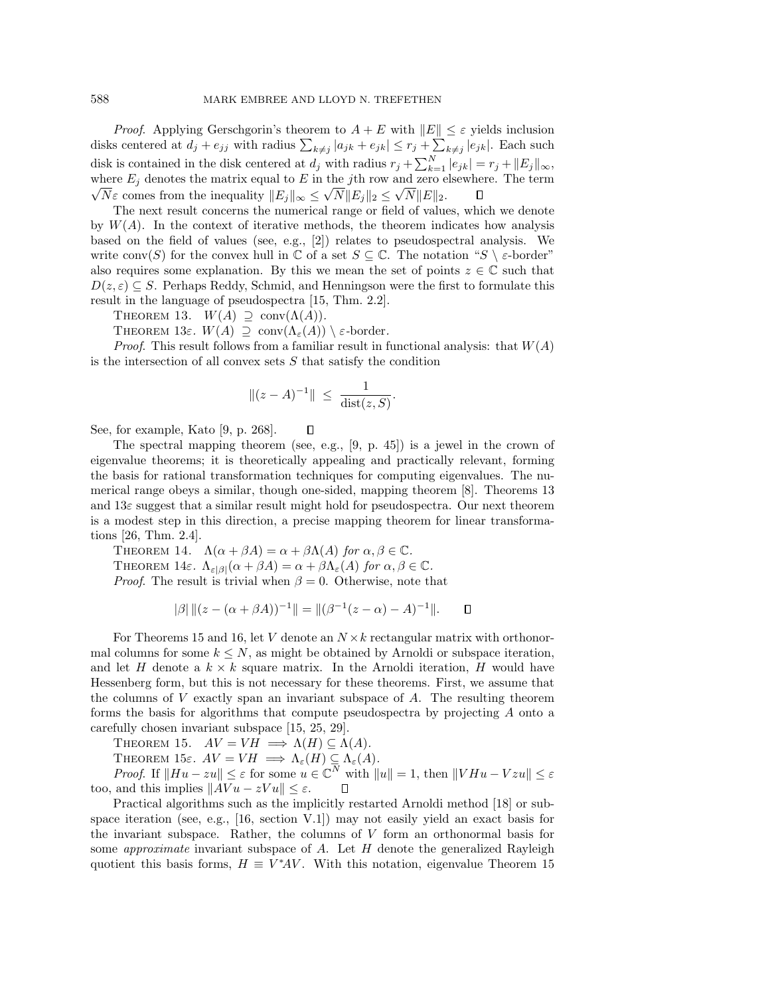*Proof.* Applying Gerschgorin's theorem to  $A + E$  with  $||E|| \leq \varepsilon$  yields inclusion disks centered at  $d_j + e_{jj}$  with radius  $\sum_{k \neq j} |a_{jk} + e_{jk}| \leq r_j + \sum_{k \neq j} |e_{jk}|$ . Each such disk is contained in the disk centered at  $d_j$  with radius  $r_j + \sum_{k=1}^N |e_{jk}| = r_j + ||E_j||_{\infty}$ , where  $E_j$  denotes the matrix equal to E in the jth row and zero elsewhere. The term Let  $E_j$  denotes the matrix equal to E in the jth fow and zero e<br>  $\overline{N}\varepsilon$  comes from the inequality  $||E_j||_{\infty} \leq \sqrt{N}||E_j||_2 \leq \sqrt{N}||E||_2$ .  $\Box$ 

The next result concerns the numerical range or field of values, which we denote by  $W(A)$ . In the context of iterative methods, the theorem indicates how analysis based on the field of values (see, e.g., [2]) relates to pseudospectral analysis. We write conv $(S)$  for the convex hull in  $\mathbb C$  of a set  $S \subseteq \mathbb C$ . The notation " $S \setminus \varepsilon$ -border" also requires some explanation. By this we mean the set of points  $z \in \mathbb{C}$  such that  $D(z, \varepsilon) \subseteq S$ . Perhaps Reddy, Schmid, and Henningson were the first to formulate this result in the language of pseudospectra [15, Thm. 2.2].

THEOREM 13.  $W(A) \supseteq \text{conv}(\Lambda(A)).$ 

THEOREM 13ε.  $W(A) \supseteq \text{conv}(\Lambda_{\varepsilon}(A)) \setminus \varepsilon$ -border.

*Proof.* This result follows from a familiar result in functional analysis: that  $W(A)$ is the intersection of all convex sets  $S$  that satisfy the condition

$$
\|(z - A)^{-1}\| \ \leq \ \frac{1}{\text{dist}(z, S)}.
$$

П

See, for example, Kato [9, p. 268].

The spectral mapping theorem (see, e.g.,  $[9, p. 45]$ ) is a jewel in the crown of eigenvalue theorems; it is theoretically appealing and practically relevant, forming the basis for rational transformation techniques for computing eigenvalues. The numerical range obeys a similar, though one-sided, mapping theorem [8]. Theorems 13 and  $13\varepsilon$  suggest that a similar result might hold for pseudospectra. Our next theorem is a modest step in this direction, a precise mapping theorem for linear transformations [26, Thm. 2.4].

THEOREM 14.  $\Lambda(\alpha + \beta A) = \alpha + \beta \Lambda(A)$  for  $\alpha, \beta \in \mathbb{C}$ . THEOREM 14ε.  $\Lambda_{\varepsilon|\beta|}(\alpha + \beta A) = \alpha + \beta \Lambda_{\varepsilon}(A)$  for  $\alpha, \beta \in \mathbb{C}$ . *Proof.* The result is trivial when  $\beta = 0$ . Otherwise, note that

$$
|\beta| ||(z - (\alpha + \beta A))^{-1}|| = ||(\beta^{-1}(z - \alpha) - A)^{-1}||. \quad \Box
$$

For Theorems 15 and 16, let V denote an  $N \times k$  rectangular matrix with orthonormal columns for some  $k \leq N$ , as might be obtained by Arnoldi or subspace iteration, and let H denote a  $k \times k$  square matrix. In the Arnoldi iteration, H would have Hessenberg form, but this is not necessary for these theorems. First, we assume that the columns of  $V$  exactly span an invariant subspace of  $A$ . The resulting theorem forms the basis for algorithms that compute pseudospectra by projecting A onto a carefully chosen invariant subspace [15, 25, 29].

THEOREM 15.  $AV = VH \implies \Lambda(H) \subseteq \Lambda(A)$ .

THEOREM 15ε.  $AV = VH \implies \Lambda_{\varepsilon}(H) \subseteq \Lambda_{\varepsilon}(A)$ .

*Proof.* If  $||Hu - zu|| \leq \varepsilon$  for some  $u \in \mathbb{C}^N$  with  $||u|| = 1$ , then  $||VHu - Vzu|| \leq \varepsilon$ too, and this implies  $||Avu - zVu|| \leq \varepsilon$ . П

Practical algorithms such as the implicitly restarted Arnoldi method [18] or subspace iteration (see, e.g.,  $[16, \text{ section } V.1]$ ) may not easily yield an exact basis for the invariant subspace. Rather, the columns of  $V$  form an orthonormal basis for some *approximate* invariant subspace of A. Let  $H$  denote the generalized Rayleigh quotient this basis forms,  $H \equiv V^*AV$ . With this notation, eigenvalue Theorem 15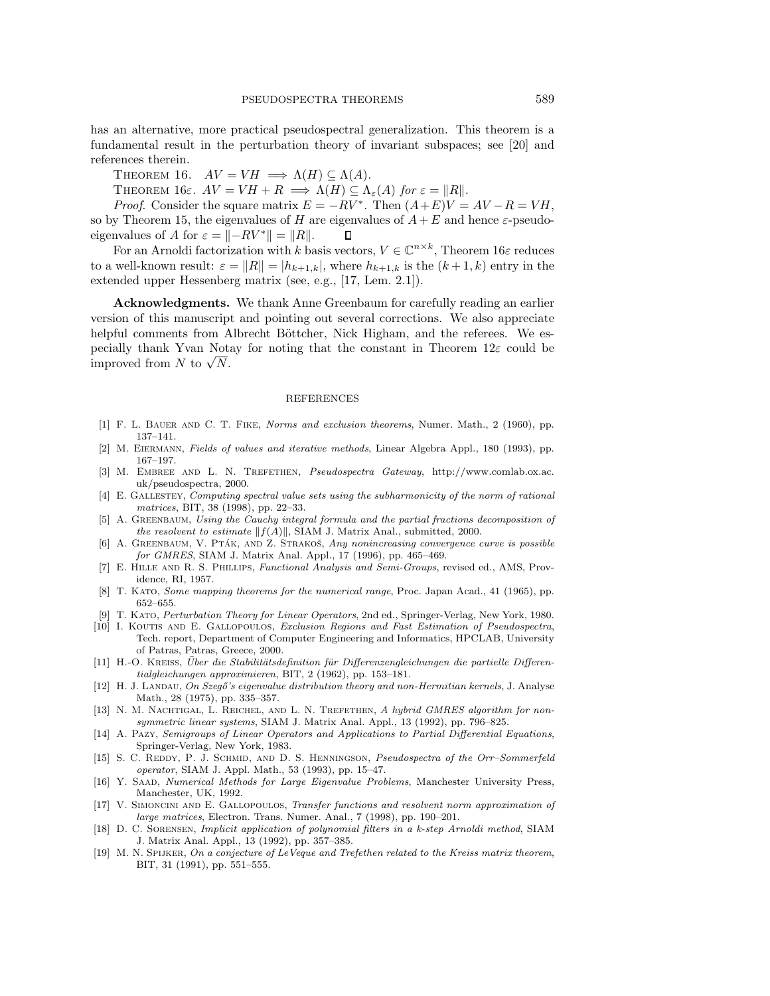has an alternative, more practical pseudospectral generalization. This theorem is a fundamental result in the perturbation theory of invariant subspaces; see [20] and references therein.

THEOREM 16.  $AV = VH \implies \Lambda(H) \subseteq \Lambda(A)$ .

THEOREM 16ε.  $AV = VH + R \implies \Lambda(H) \subseteq \Lambda_{\varepsilon}(A)$  for  $\varepsilon = ||R||$ .

*Proof.* Consider the square matrix  $E = -RV^*$ . Then  $(A + E)V = AV - R = VH$ , so by Theorem 15, the eigenvalues of H are eigenvalues of  $A+E$  and hence  $\varepsilon$ -pseudoeigenvalues of A for  $\varepsilon = |-RV^*| = ||R||$ .  $\Box$ 

For an Arnoldi factorization with k basis vectors,  $V \in \mathbb{C}^{n \times k}$ , Theorem 16 $\varepsilon$  reduces to a well-known result:  $\varepsilon = ||R|| = |h_{k+1,k}|$ , where  $h_{k+1,k}$  is the  $(k+1,k)$  entry in the extended upper Hessenberg matrix (see, e.g., [17, Lem. 2.1]).

**Acknowledgments.** We thank Anne Greenbaum for carefully reading an earlier version of this manuscript and pointing out several corrections. We also appreciate helpful comments from Albrecht Böttcher, Nick Higham, and the referees. We especially thank Yvan Notay for noting that the constant in Theorem  $12\varepsilon$  could be pecially thank Yvan Nots<br>improved from N to  $\sqrt{N}$ .

## REFERENCES

- [1] F. L. Bauer and C. T. Fike, Norms and exclusion theorems, Numer. Math., 2 (1960), pp. 137–141.
- [2] M. Eiermann, Fields of values and iterative methods, Linear Algebra Appl., 180 (1993), pp. 167–197.
- [3] M. Embree and L. N. Trefethen, Pseudospectra Gateway, http://www.comlab.ox.ac. uk/pseudospectra, 2000.
- [4] E. Gallestey, Computing spectral value sets using the subharmonicity of the norm of rational matrices, BIT, 38 (1998), pp. 22–33.
- [5] A. GREENBAUM, Using the Cauchy integral formula and the partial fractions decomposition of the resolvent to estimate  $||f(A)||$ , SIAM J. Matrix Anal., submitted, 2000.
- [6] A. GREENBAUM, V. PTÁK, AND Z. STRAKOŠ, Any nonincreasing convergence curve is possible for GMRES, SIAM J. Matrix Anal. Appl., 17 (1996), pp. 465–469.
- [7] E. Hille and R. S. Phillips, Functional Analysis and Semi-Groups, revised ed., AMS, Providence, RI, 1957.
- [8] T. KATO, Some mapping theorems for the numerical range, Proc. Japan Acad., 41 (1965), pp. 652–655.
- [9] T. Kato, Perturbation Theory for Linear Operators, 2nd ed., Springer-Verlag, New York, 1980.
- [10] I. Koutis and E. Gallopoulos, Exclusion Regions and Fast Estimation of Pseudospectra, Tech. report, Department of Computer Engineering and Informatics, HPCLAB, University of Patras, Patras, Greece, 2000.
- [11] H.-O. KREISS, Über die Stabilitätsdefinition für Differenzengleichungen die partielle Differentialgleichungen approximieren, BIT, 2 (1962), pp. 153–181.
- [12] H. J. LANDAU, On Szegő's eigenvalue distribution theory and non-Hermitian kernels, J. Analyse Math., 28 (1975), pp. 335–357.
- [13] N. M. NACHTIGAL, L. REICHEL, AND L. N. TREFETHEN, A hybrid GMRES algorithm for nonsymmetric linear systems, SIAM J. Matrix Anal. Appl., 13 (1992), pp. 796–825.
- [14] A. Pazy, Semigroups of Linear Operators and Applications to Partial Differential Equations, Springer-Verlag, New York, 1983.
- [15] S. C. REDDY, P. J. SCHMID, AND D. S. HENNINGSON, Pseudospectra of the Orr–Sommerfeld operator, SIAM J. Appl. Math., 53 (1993), pp. 15–47.
- [16] Y. Saad, Numerical Methods for Large Eigenvalue Problems, Manchester University Press, Manchester, UK, 1992.
- [17] V. SIMONCINI AND E. GALLOPOULOS, Transfer functions and resolvent norm approximation of large matrices, Electron. Trans. Numer. Anal., 7 (1998), pp. 190–201.
- [18] D. C. Sorensen, Implicit application of polynomial filters in a k-step Arnoldi method, SIAM J. Matrix Anal. Appl., 13 (1992), pp. 357–385.
- [19] M. N. SPIJKER, On a conjecture of LeVeque and Trefethen related to the Kreiss matrix theorem, BIT, 31 (1991), pp. 551–555.